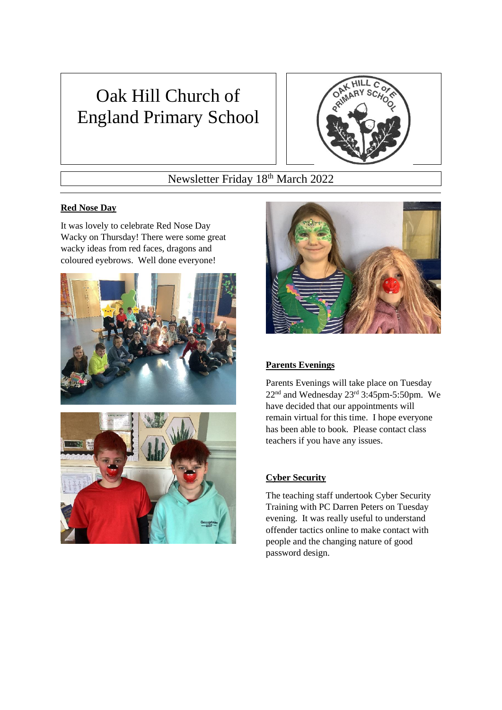# Oak Hill Church of England Primary School



# Newsletter Friday 18th March 2022

# **Red Nose Day**

It was lovely to celebrate Red Nose Day Wacky on Thursday! There were some great wacky ideas from red faces, dragons and coloured eyebrows. Well done everyone!







# **Parents Evenings**

Parents Evenings will take place on Tuesday 22nd and Wednesday 23rd 3:45pm-5:50pm. We have decided that our appointments will remain virtual for this time. I hope everyone has been able to book. Please contact class teachers if you have any issues.

# **Cyber Security**

The teaching staff undertook Cyber Security Training with PC Darren Peters on Tuesday evening. It was really useful to understand offender tactics online to make contact with people and the changing nature of good password design.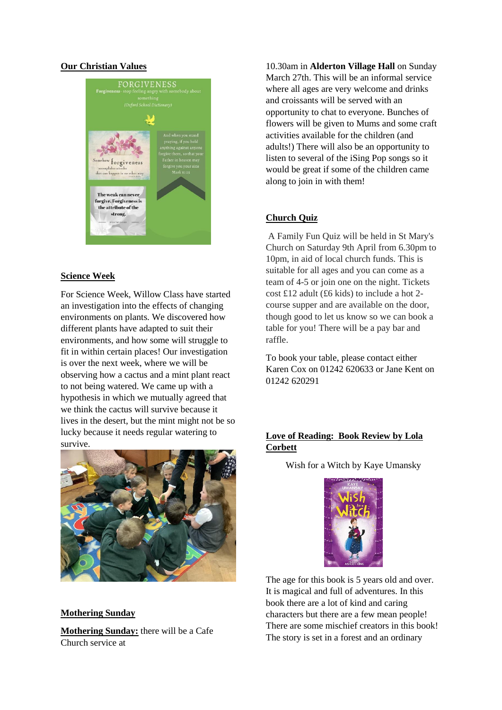#### **Our Christian Values**



#### **Science Week**

For Science Week, Willow Class have started an investigation into the effects of changing environments on plants. We discovered how different plants have adapted to suit their environments, and how some will struggle to fit in within certain places! Our investigation is over the next week, where we will be observing how a cactus and a mint plant react to not being watered. We came up with a hypothesis in which we mutually agreed that we think the cactus will survive because it lives in the desert, but the mint might not be so lucky because it needs regular watering to survive.



#### **Mothering Sunday**

**Mothering Sunday:** there will be a Cafe Church service at

10.30am in **Alderton Village Hall** on Sunday March 27th. This will be an informal service where all ages are very welcome and drinks and croissants will be served with an opportunity to chat to everyone. Bunches of flowers will be given to Mums and some craft activities available for the children (and adults!) There will also be an opportunity to listen to several of the iSing Pop songs so it would be great if some of the children came along to join in with them!

#### **Church Quiz**

A Family Fun Quiz will be held in St Mary's Church on Saturday 9th April from 6.30pm to 10pm, in aid of local church funds. This is suitable for all ages and you can come as a team of 4-5 or join one on the night. Tickets cost £12 adult (£6 kids) to include a hot 2 course supper and are available on the door, though good to let us know so we can book a table for you! There will be a pay bar and raffle.

To book your table, please contact either Karen Cox on 01242 620633 or Jane Kent on 01242 620291

## **Love of Reading: Book Review by Lola Corbett**

Wish for a Witch by Kaye Umansky



The age for this book is 5 years old and over. It is magical and full of adventures. In this book there are a lot of kind and caring characters but there are a few mean people! There are some mischief creators in this book! The story is set in a forest and an ordinary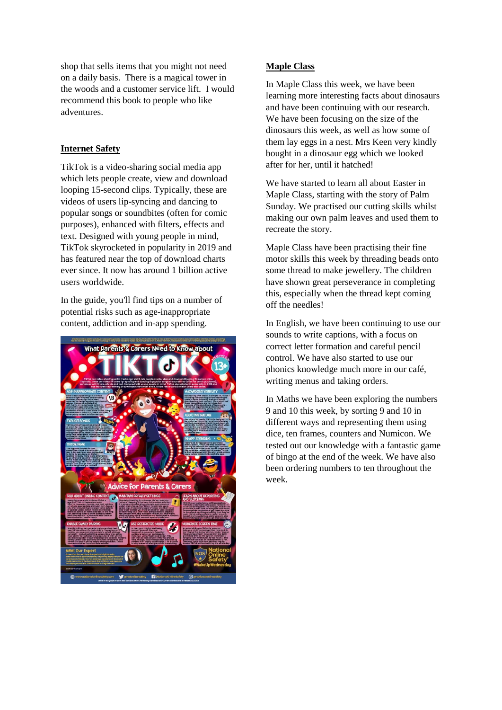shop that sells items that you might not need on a daily basis. There is a magical tower in the woods and a customer service lift. I would recommend this book to people who like adventures.

#### **Internet Safety**

TikTok is a video-sharing social media app which lets people create, view and download looping 15-second clips. Typically, these are videos of users lip-syncing and dancing to popular songs or soundbites (often for comic purposes), enhanced with filters, effects and text. Designed with young people in mind, TikTok skyrocketed in popularity in 2019 and has featured near the top of download charts ever since. It now has around 1 billion active users worldwide.

In the guide, you'll find tips on a number of potential risks such as age-inappropriate content, addiction and in-app spending.



#### **Maple Class**

In Maple Class this week, we have been learning more interesting facts about dinosaurs and have been continuing with our research. We have been focusing on the size of the dinosaurs this week, as well as how some of them lay eggs in a nest. Mrs Keen very kindly bought in a dinosaur egg which we looked after for her, until it hatched!

We have started to learn all about Easter in Maple Class, starting with the story of Palm Sunday. We practised our cutting skills whilst making our own palm leaves and used them to recreate the story.

Maple Class have been practising their fine motor skills this week by threading beads onto some thread to make jewellery. The children have shown great perseverance in completing this, especially when the thread kept coming off the needles!

In English, we have been continuing to use our sounds to write captions, with a focus on correct letter formation and careful pencil control. We have also started to use our phonics knowledge much more in our café, writing menus and taking orders.

In Maths we have been exploring the numbers 9 and 10 this week, by sorting 9 and 10 in different ways and representing them using dice, ten frames, counters and Numicon. We tested out our knowledge with a fantastic game of bingo at the end of the week. We have also been ordering numbers to ten throughout the week.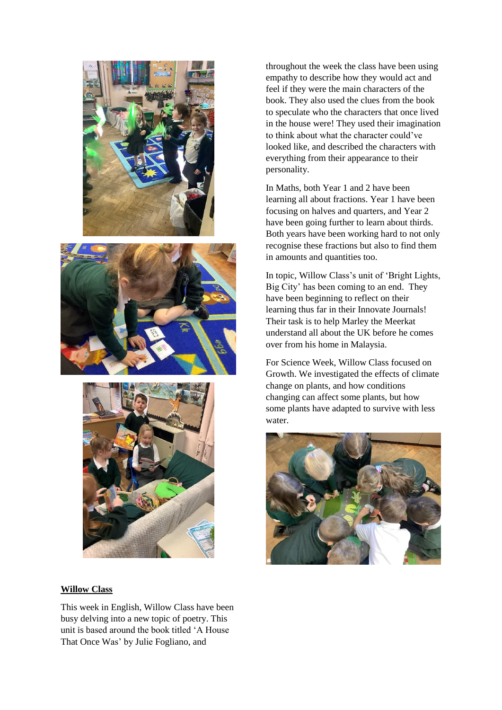





throughout the week the class have been using empathy to describe how they would act and feel if they were the main characters of the book. They also used the clues from the book to speculate who the characters that once lived in the house were! They used their imagination to think about what the character could've looked like, and described the characters with everything from their appearance to their personality.

In Maths, both Year 1 and 2 have been learning all about fractions. Year 1 have been focusing on halves and quarters, and Year 2 have been going further to learn about thirds. Both years have been working hard to not only recognise these fractions but also to find them in amounts and quantities too.

In topic, Willow Class's unit of 'Bright Lights, Big City' has been coming to an end. They have been beginning to reflect on their learning thus far in their Innovate Journals! Their task is to help Marley the Meerkat understand all about the UK before he comes over from his home in Malaysia.

For Science Week, Willow Class focused on Growth. We investigated the effects of climate change on plants, and how conditions changing can affect some plants, but how some plants have adapted to survive with less water.



#### **Willow Class**

This week in English, Willow Class have been busy delving into a new topic of poetry. This unit is based around the book titled 'A House That Once Was' by Julie Fogliano, and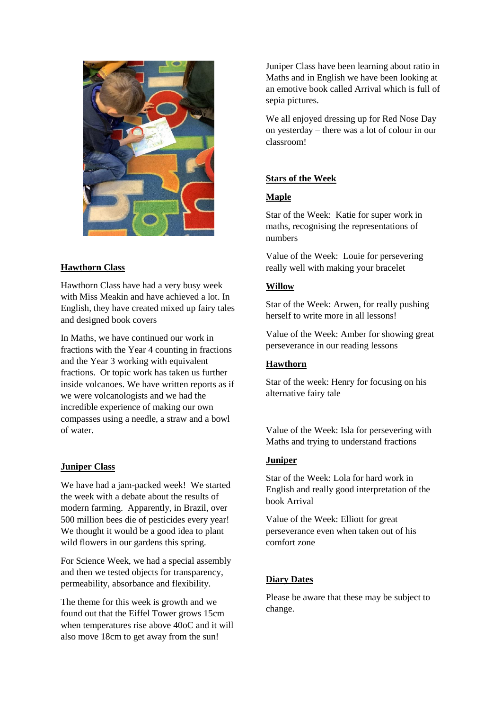

### **Hawthorn Class**

Hawthorn Class have had a very busy week with Miss Meakin and have achieved a lot. In English, they have created mixed up fairy tales and designed book covers

In Maths, we have continued our work in fractions with the Year 4 counting in fractions and the Year 3 working with equivalent fractions. Or topic work has taken us further inside volcanoes. We have written reports as if we were volcanologists and we had the incredible experience of making our own compasses using a needle, a straw and a bowl of water.

#### **Juniper Class**

We have had a jam-packed week! We started the week with a debate about the results of modern farming. Apparently, in Brazil, over 500 million bees die of pesticides every year! We thought it would be a good idea to plant wild flowers in our gardens this spring.

For Science Week, we had a special assembly and then we tested objects for transparency, permeability, absorbance and flexibility.

The theme for this week is growth and we found out that the Eiffel Tower grows 15cm when temperatures rise above 40oC and it will also move 18cm to get away from the sun!

Juniper Class have been learning about ratio in Maths and in English we have been looking at an emotive book called Arrival which is full of sepia pictures.

We all enjoyed dressing up for Red Nose Day on yesterday – there was a lot of colour in our classroom!

#### **Stars of the Week**

#### **Maple**

Star of the Week: Katie for super work in maths, recognising the representations of numbers

Value of the Week: Louie for persevering really well with making your bracelet

#### **Willow**

Star of the Week: Arwen, for really pushing herself to write more in all lessons!

Value of the Week: Amber for showing great perseverance in our reading lessons

#### **Hawthorn**

Star of the week: Henry for focusing on his alternative fairy tale

Value of the Week: Isla for persevering with Maths and trying to understand fractions

#### **Juniper**

Star of the Week: Lola for hard work in English and really good interpretation of the book Arrival

Value of the Week: Elliott for great perseverance even when taken out of his comfort zone

#### **Diary Dates**

Please be aware that these may be subject to change.